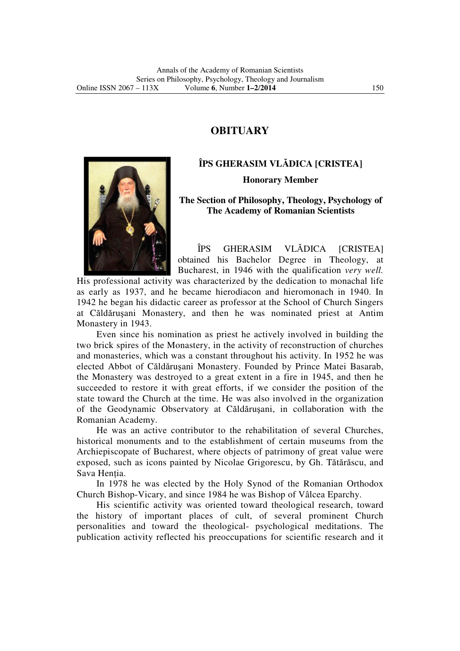## **OBITUARY**



## **ÎPS GHERASIM VLĂDICA [CRISTEA CRISTEA] Honorary Member**

## **The Section of Philosophy, Theology, Psychology of The Academy of Romanian Scientists**

ÎPS GHERASIM VLĂDICA obtained his Bachelor Degree in Theology, at Bucharest, in 1946 with the qualification *very well.*  [CRISTEA]

His professional activity was characterized by the dedication to monachal life as early as 1937, and he became hierodiacon and hieromonach in 1940. In 1942 he began his didactic career as professor at the School of Church Singers at Căldărușani Monastery, and then he was nominated priest at Antim Monastery in 1943.

Even since his nomination as priest he actively involved in building the two brick spires of the Monastery, in the a activity of reconstruction of churches two brick spires of the Monastery, in the activity of reconstruction of churches and monasteries, which was a constant throughout his activity. In 1952 he was elected Abbot of Căldă ruşani Monastery. Founded by Prince Matei Matei Basarab, the Monastery was destroyed to a great extent in a fire in 1945, and then he succeeded to restore it with great efforts, if we consider the position of the state toward the Church at the time. He was also involved in the organization of the Geodynamic Observatory at Căldărușani, in collaboration with the Romanian Academy.

He was an active contributor to the rehabilitation of several Churches, historical monuments and to the establishment of certain museums from the Archiepiscopate of Bucharest, where objects of patrimony of great value were exposed, such as icons painted by Nicolae Grigorescu, by Gh. Tă Sava Hentia. ry at Căldărușani, in collaboration with the<br>tor to the rehabilitation of several Churches,<br>e establishment of certain museums from the<br>vhere objects of patrimony of great value were<br>by Nicolae Grigorescu, by Gh. Tătărăscu

In 1978 he was elected by the Holy Synod of the Romanian Orthodox In 1978 he was elected by the Holy Synod of the Romanian Orth<br>Church Bishop-Vicary, and since 1984 he was Bishop of Vâlcea Eparchy.

His scientific activity was oriented toward theological research, toward the history of important places of cult, of several prominent Church personalities and toward the theological meditations. The publication activity reflected his preoccupations for scientific research and it cientific activity was oriented toward theological research, to<br>y of important places of cult, of several prominent C<br>es and toward the theological- psychological meditations.